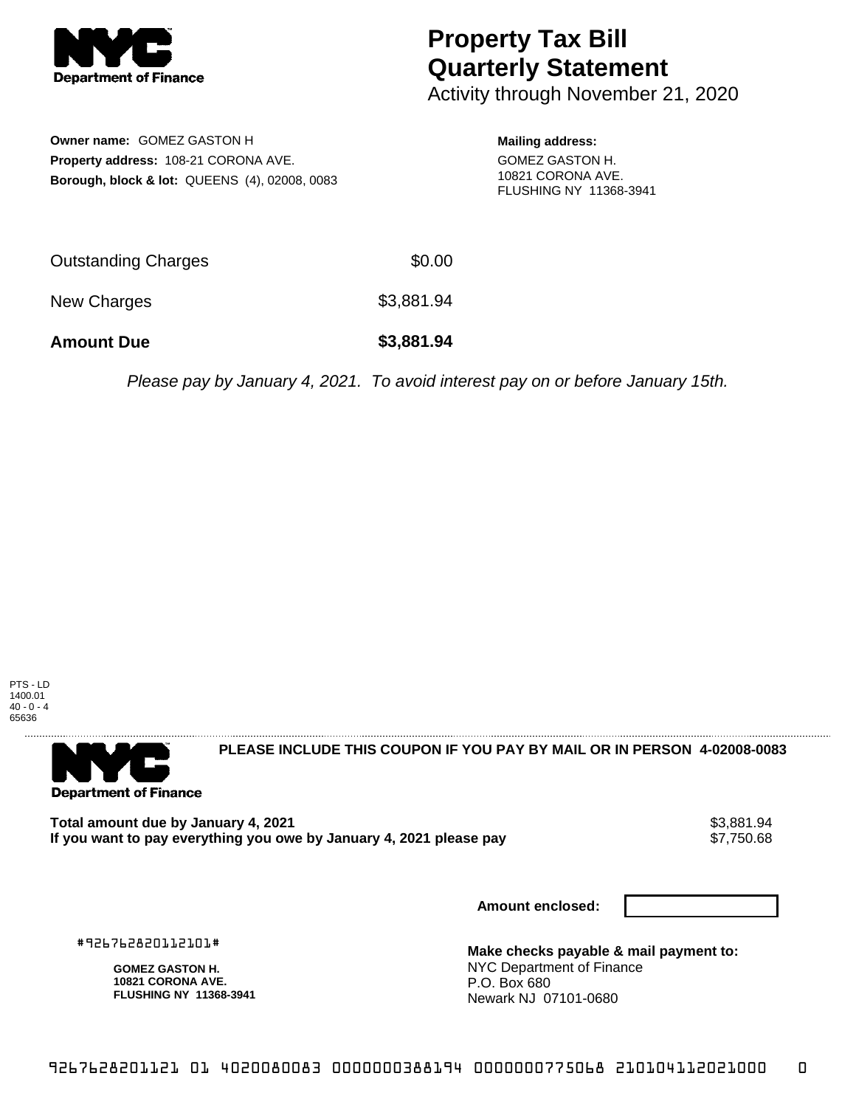

## **Property Tax Bill Quarterly Statement**

Activity through November 21, 2020

**Owner name:** GOMEZ GASTON H **Property address:** 108-21 CORONA AVE. **Borough, block & lot:** QUEENS (4), 02008, 0083

## **Mailing address:**

GOMEZ GASTON H. 10821 CORONA AVE. FLUSHING NY 11368-3941

| <b>Amount Due</b>          | \$3,881.94 |
|----------------------------|------------|
| New Charges                | \$3,881.94 |
| <b>Outstanding Charges</b> | \$0.00     |

Please pay by January 4, 2021. To avoid interest pay on or before January 15th.

PTS - LD 1400.01  $40 - 0 - 4$ 65636



**PLEASE INCLUDE THIS COUPON IF YOU PAY BY MAIL OR IN PERSON 4-02008-0083** 

Total amount due by January 4, 2021<br>If you want to pay everything you owe by January 4, 2021 please pay **show that the same of the season of the s** If you want to pay everything you owe by January 4, 2021 please pay

**Amount enclosed:**

#926762820112101#

**GOMEZ GASTON H. 10821 CORONA AVE. FLUSHING NY 11368-3941**

**Make checks payable & mail payment to:** NYC Department of Finance P.O. Box 680 Newark NJ 07101-0680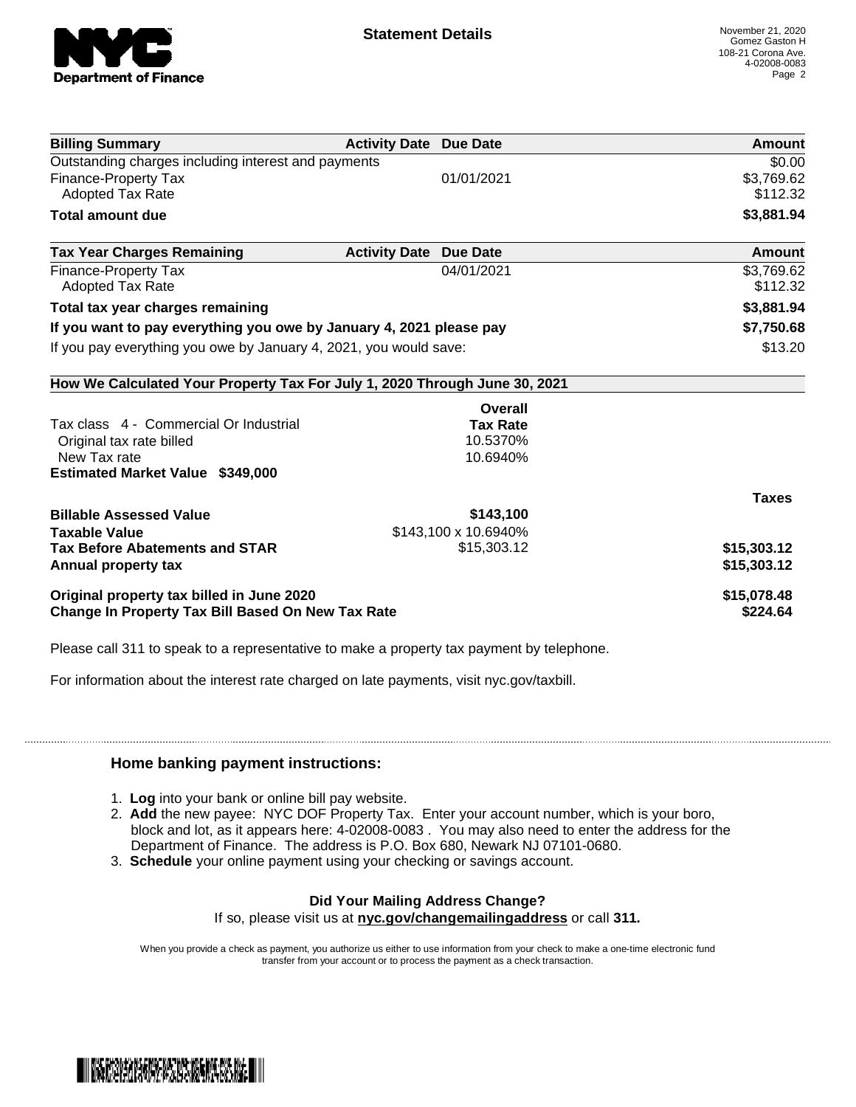

| <b>Billing Summary</b>                                                     | <b>Activity Date Due Date</b> |                      | Amount       |
|----------------------------------------------------------------------------|-------------------------------|----------------------|--------------|
| Outstanding charges including interest and payments                        |                               |                      | \$0.00       |
| <b>Finance-Property Tax</b>                                                |                               | 01/01/2021           | \$3,769.62   |
| <b>Adopted Tax Rate</b>                                                    |                               |                      | \$112.32     |
| <b>Total amount due</b>                                                    |                               |                      | \$3,881.94   |
| <b>Tax Year Charges Remaining</b>                                          | <b>Activity Date</b>          | <b>Due Date</b>      | Amount       |
| <b>Finance-Property Tax</b>                                                |                               | 04/01/2021           | \$3,769.62   |
| <b>Adopted Tax Rate</b>                                                    |                               |                      | \$112.32     |
| Total tax year charges remaining                                           |                               |                      | \$3,881.94   |
| If you want to pay everything you owe by January 4, 2021 please pay        |                               |                      | \$7,750.68   |
| If you pay everything you owe by January 4, 2021, you would save:          |                               | \$13.20              |              |
| How We Calculated Your Property Tax For July 1, 2020 Through June 30, 2021 |                               |                      |              |
|                                                                            |                               | Overall              |              |
| Tax class 4 - Commercial Or Industrial                                     |                               | <b>Tax Rate</b>      |              |
| Original tax rate billed                                                   |                               | 10.5370%             |              |
| New Tax rate                                                               |                               | 10.6940%             |              |
| Estimated Market Value \$349,000                                           |                               |                      |              |
|                                                                            |                               |                      | <b>Taxes</b> |
| <b>Billable Assessed Value</b>                                             |                               | \$143,100            |              |
| <b>Taxable Value</b>                                                       |                               | \$143,100 x 10.6940% |              |
| <b>Tax Before Abatements and STAR</b>                                      |                               | \$15,303.12          | \$15,303.12  |
| Annual property tax                                                        |                               |                      | \$15,303.12  |
| Original property tax billed in June 2020                                  |                               |                      | \$15,078.48  |
| Change In Property Tax Bill Based On New Tax Rate                          |                               |                      | \$224.64     |

Please call 311 to speak to a representative to make a property tax payment by telephone.

For information about the interest rate charged on late payments, visit nyc.gov/taxbill.

## **Home banking payment instructions:**

- 1. **Log** into your bank or online bill pay website.
- 2. **Add** the new payee: NYC DOF Property Tax. Enter your account number, which is your boro, block and lot, as it appears here: 4-02008-0083 . You may also need to enter the address for the Department of Finance. The address is P.O. Box 680, Newark NJ 07101-0680.
- 3. **Schedule** your online payment using your checking or savings account.

## **Did Your Mailing Address Change?**

If so, please visit us at **nyc.gov/changemailingaddress** or call **311.**

When you provide a check as payment, you authorize us either to use information from your check to make a one-time electronic fund transfer from your account or to process the payment as a check transaction.